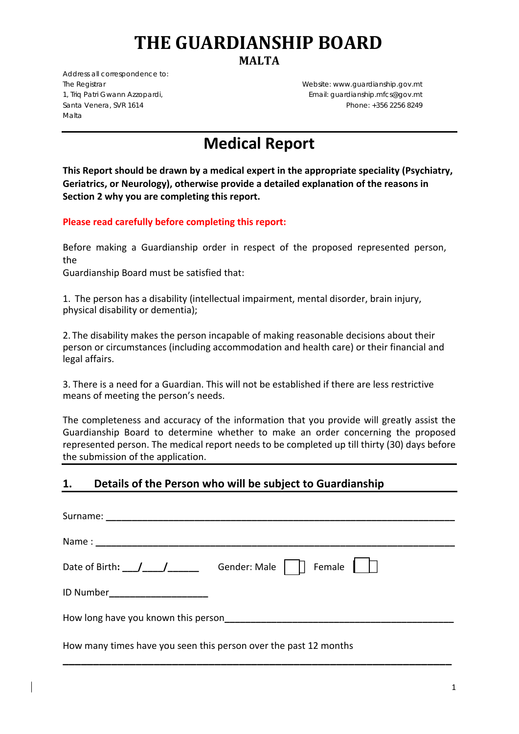# **THE GUARDIANSHIP BOARD**

**MALTA**

*Address all correspondence to:*  Malta

The Registrar Website: www.guardianship.gov.mt 1, Triq Patri Gwann Azzopardi, Email: guardianship.mfcs@gov.mt Santa Venera, SVR 1614 **Phone: +356 2256 8249** Phone: +356 2256 8249

# **Medical Report**

**This Report should be drawn by a medical expert in the appropriate speciality (Psychiatry, Geriatrics, or Neurology), otherwise provide a detailed explanation of the reasons in Section 2 why you are completing this report.** 

#### **Please read carefully before completing this report:**

Before making a Guardianship order in respect of the proposed represented person, the

Guardianship Board must be satisfied that:

1. The person has a disability (intellectual impairment, mental disorder, brain injury, physical disability or dementia);

2. The disability makes the person incapable of making reasonable decisions about their person or circumstances (including accommodation and health care) or their financial and legal affairs.

3. There is a need for a Guardian. This will not be established if there are less restrictive means of meeting the person's needs.

The completeness and accuracy of the information that you provide will greatly assist the Guardianship Board to determine whether to make an order concerning the proposed represented person. The medical report needs to be completed up till thirty (30) days before the submission of the application.

#### **1. Details of the Person who will be subject to Guardianship**

| Date of Birth: $\angle$ / $\angle$ / $\angle$ Gender: Male $ \Box$ Female $ \Box$ |  |  |
|-----------------------------------------------------------------------------------|--|--|
| ID Number________________________                                                 |  |  |
|                                                                                   |  |  |
| How many times have you seen this person over the past 12 months                  |  |  |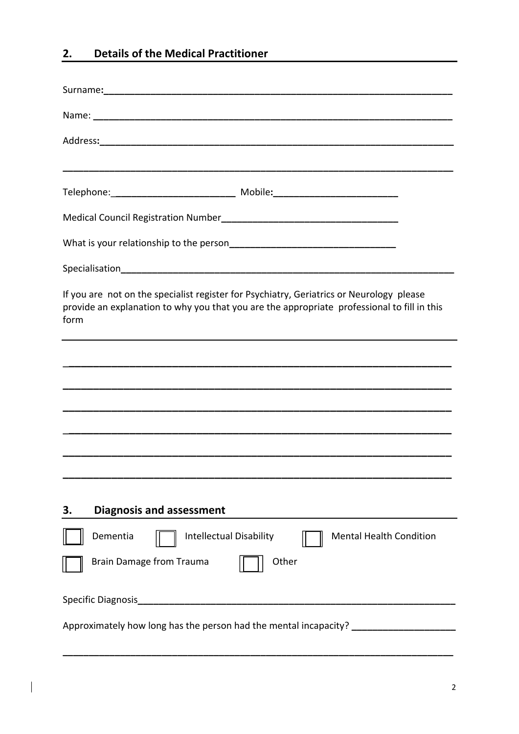## **2. Details of the Medical Practitioner**

 $\overline{\phantom{a}}$ 

| If you are not on the specialist register for Psychiatry, Geriatrics or Neurology please<br>provide an explanation to why you that you are the appropriate professional to fill in this<br>form |  |  |
|-------------------------------------------------------------------------------------------------------------------------------------------------------------------------------------------------|--|--|
| ,我们也不会有什么。""我们的人,我们也不会有什么?""我们的人,我们也不会有什么?""我们的人,我们也不会有什么?""我们的人,我们也不会有什么?""我们的人                                                                                                                |  |  |
|                                                                                                                                                                                                 |  |  |
|                                                                                                                                                                                                 |  |  |
|                                                                                                                                                                                                 |  |  |
|                                                                                                                                                                                                 |  |  |
|                                                                                                                                                                                                 |  |  |
| <b>Diagnosis and assessment</b><br>3.                                                                                                                                                           |  |  |
| Dementia<br><b>Intellectual Disability</b><br><b>Mental Health Condition</b>                                                                                                                    |  |  |
| <b>Brain Damage from Trauma</b><br>Other                                                                                                                                                        |  |  |
| Specific Diagnosis<br><u> 1980 - Jan Barnett, fransk politik (d. 1980)</u>                                                                                                                      |  |  |
| Approximately how long has the person had the mental incapacity? _______________                                                                                                                |  |  |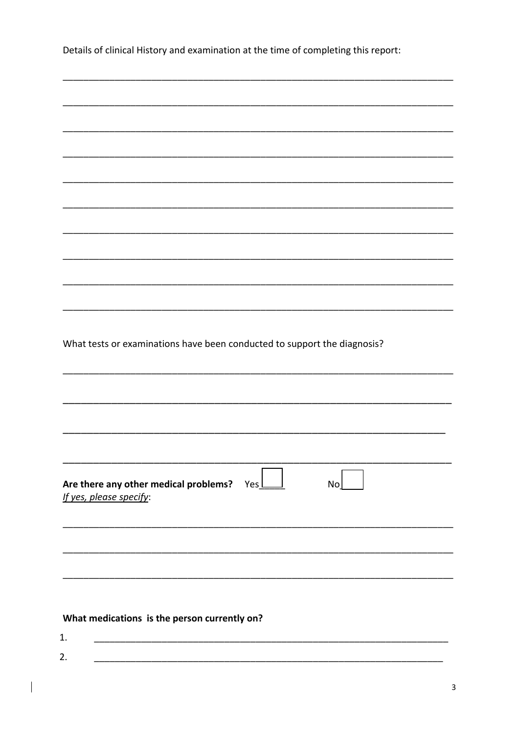Details of clinical History and examination at the time of completing this report:

| What tests or examinations have been conducted to support the diagnosis? |
|--------------------------------------------------------------------------|
|                                                                          |
|                                                                          |
|                                                                          |
|                                                                          |
|                                                                          |
| Are there any other medical problems? $Yes \_\_$<br>No                   |
| If yes, please specify:                                                  |
|                                                                          |
|                                                                          |
|                                                                          |
|                                                                          |
|                                                                          |
| What medications is the person currently on?                             |
| 1.                                                                       |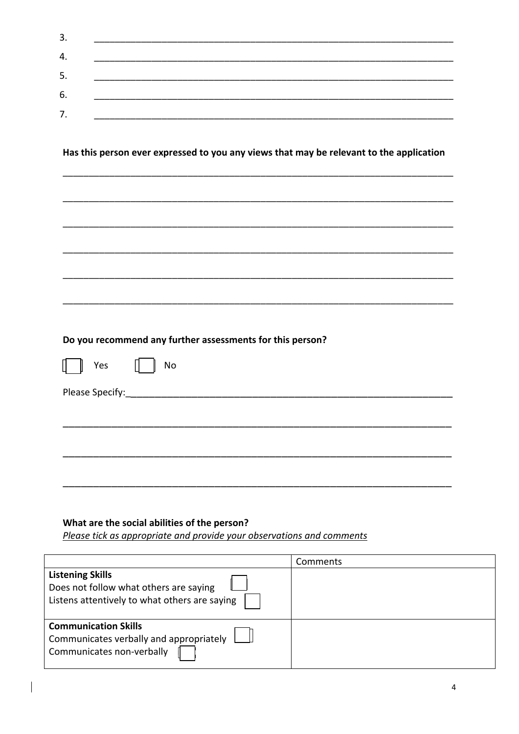| З.  |  |  |
|-----|--|--|
| 4.  |  |  |
| -5. |  |  |
| 6.  |  |  |
|     |  |  |
| 7.  |  |  |

Has this person ever expressed to you any views that may be relevant to the application

|                 | Do you recommend any further assessments for this person? |
|-----------------|-----------------------------------------------------------|
| $\parallel$ Yes | No                                                        |
|                 |                                                           |
|                 |                                                           |
|                 |                                                           |
|                 |                                                           |

#### What are the social abilities of the person?

Please tick as appropriate and provide your observations and comments

|                                                                                                                    | Comments |
|--------------------------------------------------------------------------------------------------------------------|----------|
| <b>Listening Skills</b><br>Does not follow what others are saying<br>Listens attentively to what others are saying |          |
| <b>Communication Skills</b><br>Communicates verbally and appropriately<br>Communicates non-verbally                |          |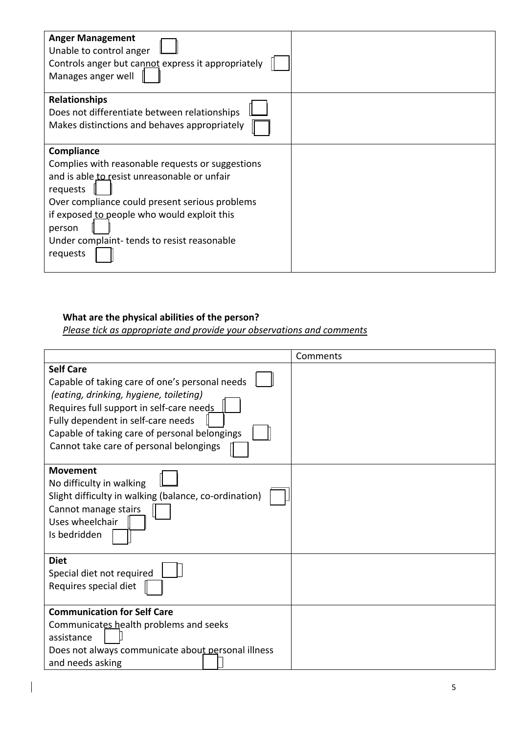| <b>Anger Management</b><br>Unable to control anger<br>Controls anger but cannot express it appropriately<br>Manages anger well                                                                                                                                                                  |  |
|-------------------------------------------------------------------------------------------------------------------------------------------------------------------------------------------------------------------------------------------------------------------------------------------------|--|
| <b>Relationships</b><br>Does not differentiate between relationships<br>Makes distinctions and behaves appropriately                                                                                                                                                                            |  |
| Compliance<br>Complies with reasonable requests or suggestions<br>and is able to resist unreasonable or unfair<br>requests<br>Over compliance could present serious problems<br>if exposed to people who would exploit this<br>person<br>Under complaint-tends to resist reasonable<br>requests |  |

#### **What are the physical abilities of the person?**

*Please tick as appropriate and provide your observations and comments* 

|                                                                                                                                                                                                                                                                                            | Comments |
|--------------------------------------------------------------------------------------------------------------------------------------------------------------------------------------------------------------------------------------------------------------------------------------------|----------|
| <b>Self Care</b><br>Capable of taking care of one's personal needs<br>(eating, drinking, hygiene, toileting)<br>Requires full support in self-care needs<br>Fully dependent in self-care needs<br>Capable of taking care of personal belongings<br>Cannot take care of personal belongings |          |
| <b>Movement</b><br>No difficulty in walking<br>Slight difficulty in walking (balance, co-ordination)<br>Cannot manage stairs<br>Uses wheelchair<br>Is bedridden                                                                                                                            |          |
| <b>Diet</b><br>Special diet not required<br>Requires special diet                                                                                                                                                                                                                          |          |
| <b>Communication for Self Care</b><br>Communicates health problems and seeks<br>assistance<br>Does not always communicate about personal illness<br>and needs asking                                                                                                                       |          |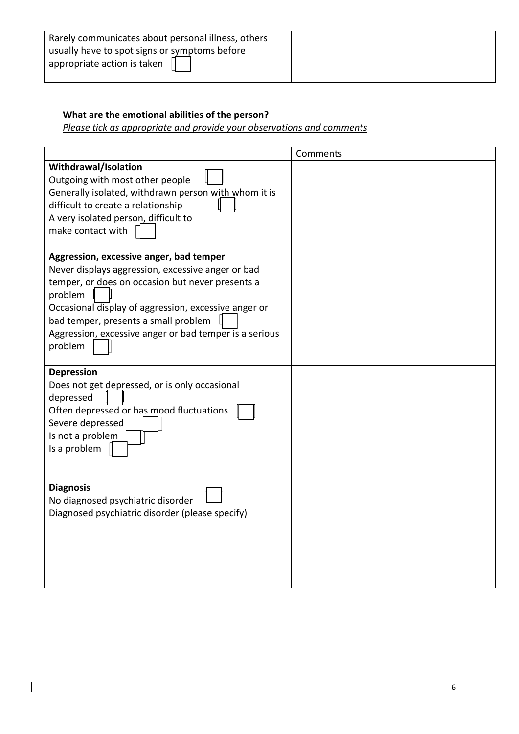| Rarely communicates about personal illness, others                           |  |
|------------------------------------------------------------------------------|--|
| usually have to spot signs or symptoms before<br>appropriate action is taken |  |

### **What are the emotional abilities of the person?**

*Please tick as appropriate and provide your observations and comments* 

|                                                        | Comments |
|--------------------------------------------------------|----------|
| Withdrawal/Isolation                                   |          |
| Outgoing with most other people                        |          |
| Generally isolated, withdrawn person with whom it is   |          |
| difficult to create a relationship                     |          |
| A very isolated person, difficult to                   |          |
| make contact with                                      |          |
|                                                        |          |
| Aggression, excessive anger, bad temper                |          |
| Never displays aggression, excessive anger or bad      |          |
| temper, or does on occasion but never presents a       |          |
| problem                                                |          |
| Occasional display of aggression, excessive anger or   |          |
| bad temper, presents a small problem                   |          |
| Aggression, excessive anger or bad temper is a serious |          |
| problem                                                |          |
|                                                        |          |
| <b>Depression</b>                                      |          |
| Does not get depressed, or is only occasional          |          |
| depressed                                              |          |
| Often depressed or has mood fluctuations               |          |
| Severe depressed                                       |          |
| Is not a problem                                       |          |
| Is a problem                                           |          |
|                                                        |          |
|                                                        |          |
| <b>Diagnosis</b>                                       |          |
| No diagnosed psychiatric disorder                      |          |
| Diagnosed psychiatric disorder (please specify)        |          |
|                                                        |          |
|                                                        |          |
|                                                        |          |
|                                                        |          |
|                                                        |          |